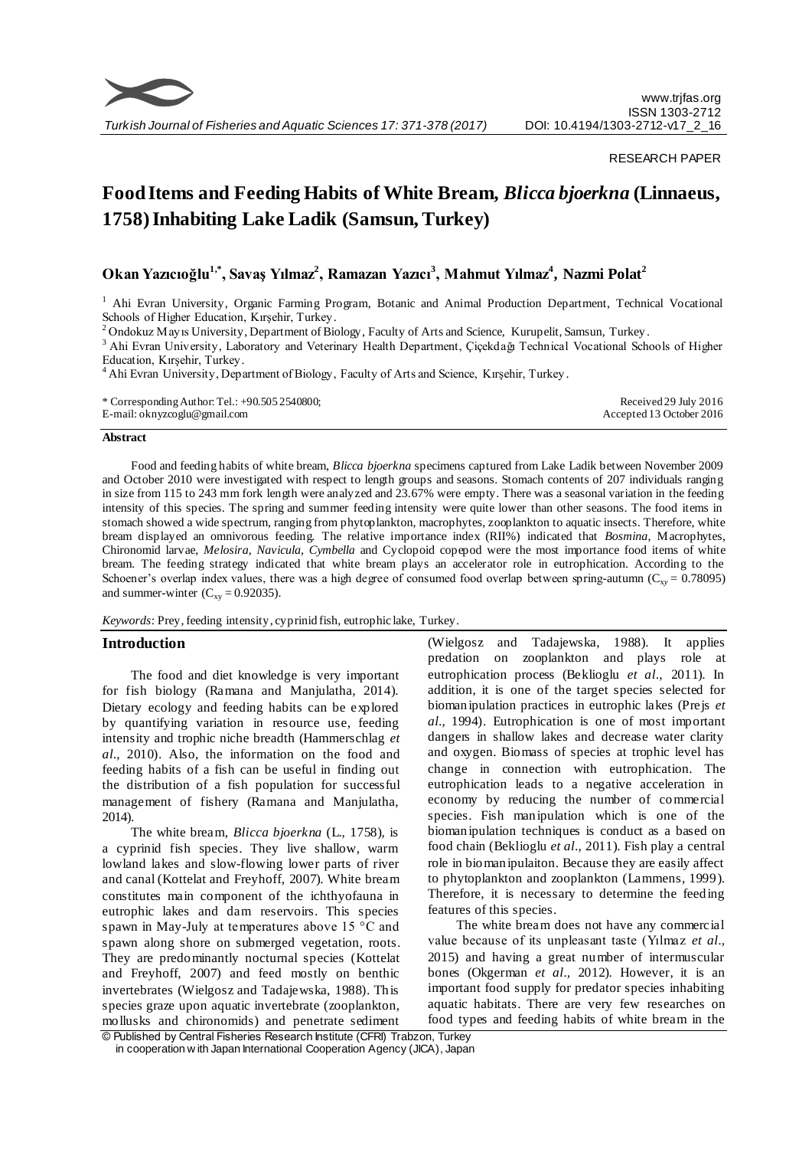

*Turkish Journal of Fisheries and Aquatic Sciences 17: 371-378 (2017)*

#### RESEARCH PAPER

# **Food Items and Feeding Habits of White Bream,** *Blicca bjoerkna* **(Linnaeus, 1758) Inhabiting Lake Ladik (Samsun, Turkey)**

# **Okan Yazıcıoğlu1,\*, Savaş Yılmaz<sup>2</sup> , Ramazan Yazıcı<sup>3</sup> , Mahmut Yılmaz<sup>4</sup> , Nazmi Polat<sup>2</sup>**

<sup>1</sup> Ahi Evran University, Organic Farming Program, Botanic and Animal Production Department, Technical Vocational Schools of Higher Education, Kırşehir, Turkey.

<sup>2</sup> Ondokuz Mayıs University, Department of Biology, Faculty of Arts and Science, Kurupelit, Samsun, Turkey.

<sup>3</sup> Ahi Evran University, Laboratory and Veterinary Health Department, Çiçekdağı Technical Vocational Schools of Higher Education, Kırşehir, Turkey.

<sup>4</sup>Ahi Evran University, Department of Biology, Faculty of Arts and Science, Kırşehir, Turkey.

| * Corresponding Author: Tel.: $+90.5052540800$ ; | Received 29 July 2016    |
|--------------------------------------------------|--------------------------|
| E-mail: oknyzcoglu@gmail.com                     | Accepted 13 October 2016 |

#### **Abstract**

Food and feeding habits of white bream, *Blicca bjoerkna* specimens captured from Lake Ladik between November 2009 and October 2010 were investigated with respect to length groups and seasons. Stomach contents of 207 individuals ranging in size from 115 to 243 mm fork length were analyzed and 23.67% were empty. There was a seasonal variation in the feeding intensity of this species. The spring and summer feeding intensity were quite lower than other seasons. The food items in stomach showed a wide spectrum, ranging from phytoplankton, macrophytes, zooplankton to aquatic insects. Therefore, white bream displayed an omnivorous feeding. The relative importance index (RII%) indicated that *Bosmina*, Macrophytes, Chironomid larvae, *Melosira*, *Navicula*, *Cymbella* and Cyclopoid copepod were the most importance food items of white bream. The feeding strategy indicated that white bream plays an accelerator role in eutrophication. According to the Schoener's overlap index values, there was a high degree of consumed food overlap between spring-autumn  $(C_{xy} = 0.78095)$ and summer-winter  $(C_{xy} = 0.92035)$ .

*Keywords*: Prey, feeding intensity, cyprinid fish, eutrophic lake, Turkey.

#### **Introduction**

The food and diet knowledge is very important for fish biology (Ramana and Manjulatha, 2014). Dietary ecology and feeding habits can be explored by quantifying variation in resource use, feeding intensity and trophic niche breadth (Hammerschlag *et al.,* 2010). Also, the information on the food and feeding habits of a fish can be useful in finding out the distribution of a fish population for successful management of fishery (Ramana and Manjulatha, 2014).

The white bream, *Blicca bjoerkna* (L., 1758), is a cyprinid fish species. They live shallow, warm lowland lakes and slow-flowing lower parts of river and canal (Kottelat and Freyhoff, 2007). White bream constitutes main component of the ichthyofauna in eutrophic lakes and dam reservoirs. This species spawn in May-July at temperatures above 15 °C and spawn along shore on submerged vegetation, roots. They are predominantly nocturnal species (Kottelat and Freyhoff, 2007) and feed mostly on benthic invertebrates (Wielgosz and Tadajewska, 1988). This species graze upon aquatic invertebrate (zooplankton, mollusks and chironomids) and penetrate sediment (Wielgosz and Tadajewska, 1988). It applies predation on zooplankton and plays role at eutrophication process (Beklioglu *et al.,* 2011). In addition, it is one of the target species selected for biomanipulation practices in eutrophic lakes (Prejs *et al.,* 1994). Eutrophication is one of most important dangers in shallow lakes and decrease water clarity and oxygen. Biomass of species at trophic level has change in connection with eutrophication. The eutrophication leads to a negative acceleration in economy by reducing the number of commercial species. Fish manipulation which is one of the biomanipulation techniques is conduct as a based on food chain (Beklioglu *et al.,* 2011). Fish play a central role in biomanipulaiton. Because they are easily affect to phytoplankton and zooplankton (Lammens, 1999). Therefore, it is necessary to determine the feeding features of this species.

The white bream does not have any commercial value because of its unpleasant taste (Yılmaz *et al.,* 2015) and having a great number of intermuscular bones (Okgerman *et al.,* 2012). However, it is an important food supply for predator species inhabiting aquatic habitats. There are very few researches on food types and feeding habits of white bream in the

© Published by Central Fisheries Research Institute (CFRI) Trabzon, Turkey in cooperation w ith Japan International Cooperation Agency (JICA), Japan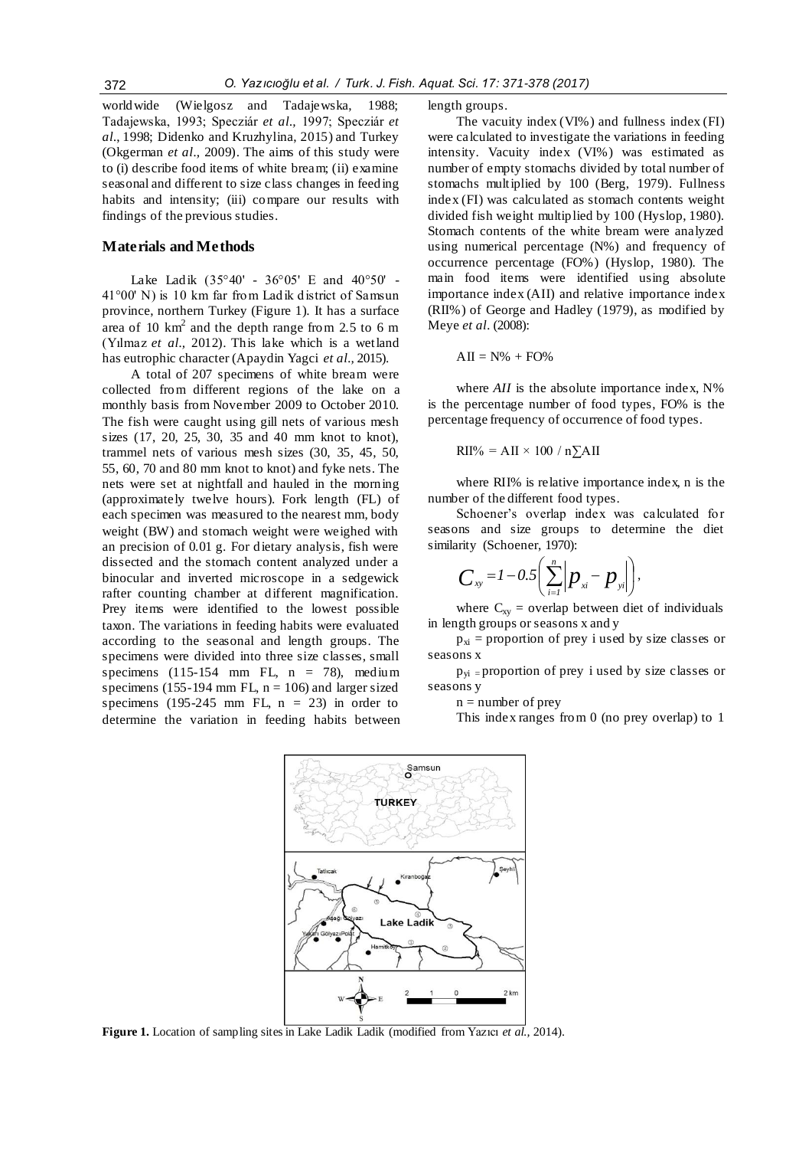worldwide (Wielgosz and Tadajewska, 1988; Tadajewska, 1993; Specziár *et al.,* 1997; Specziár *et al.*, 1998; Didenko and Kruzhylina, 2015) and Turkey (Okgerman *et al.,* 2009). The aims of this study were to (i) describe food items of white bream; (ii) examine seasonal and different to size class changes in feeding habits and intensity; (iii) compare our results with findings of the previous studies.

## **Materials and Methods**

Lake Ladik (35°40' - 36°05' E and 40°50' - 41°00' N) is 10 km far from Ladik district of Samsun province, northern Turkey (Figure 1). It has a surface area of 10  $\text{km}^2$  and the depth range from 2.5 to 6 m (Yılmaz *et al.,* 2012). This lake which is a wetland has eutrophic character (Apaydin Yagci *et al.,* 2015).

A total of 207 specimens of white bream were collected from different regions of the lake on a monthly basis from November 2009 to October 2010. The fish were caught using gill nets of various mesh sizes (17, 20, 25, 30, 35 and 40 mm knot to knot), trammel nets of various mesh sizes (30, 35, 45, 50, 55, 60, 70 and 80 mm knot to knot) and fyke nets. The nets were set at nightfall and hauled in the morning (approximately twelve hours). Fork length (FL) of each specimen was measured to the nearest mm, body weight (BW) and stomach weight were weighed with an precision of 0.01 g. For dietary analysis, fish were dissected and the stomach content analyzed under a binocular and inverted microscope in a sedgewick rafter counting chamber at different magnification. Prey items were identified to the lowest possible taxon. The variations in feeding habits were evaluated according to the seasonal and length groups. The specimens were divided into three size classes, small specimens  $(115-154 \text{ mm} \text{ FL}, n = 78)$ , medium specimens (155-194 mm FL,  $n = 106$ ) and larger sized specimens (195-245 mm FL,  $n = 23$ ) in order to determine the variation in feeding habits between length groups.

The vacuity index (VI%) and fullness index (FI) were calculated to investigate the variations in feeding intensity. Vacuity index (VI%) was estimated as number of empty stomachs divided by total number of stomachs multiplied by 100 (Berg, 1979). Fullness index (FI) was calculated as stomach contents weight divided fish weight multiplied by 100 (Hyslop, 1980). Stomach contents of the white bream were analyzed using numerical percentage (N%) and frequency of occurrence percentage (FO%) (Hyslop, 1980). The main food items were identified using absolute importance index (AII) and relative importance index (RII%) of George and Hadley (1979), as modified by Meye *et al.* (2008):

$$
AII = N\% + FO\%
$$

where  $AII$  is the absolute importance index,  $N\%$ is the percentage number of food types, FO% is the percentage frequency of occurrence of food types.

$$
RII\% = AII \times 100 / n\Sigma AII
$$

where RII% is relative importance index, n is the number of the different food types.

Schoener's overlap index was calculated for seasons and size groups to determine the diet similarity (Schoener, 1970):

$$
C_{xy} = 1 - 0.5 \left( \sum_{i=1}^{n} \left| p_{x_i} - p_{y_i} \right| \right),
$$

where  $C_{xy}$  = overlap between diet of individuals in length groups or seasons x and y

 $p_{xi}$  = proportion of prey i used by size classes or seasons x

 $p_{yi}$  = proportion of prey i used by size classes or seasons y

 $n =$  number of prey

This index ranges from 0 (no prey overlap) to 1



**Figure 1.** Location of sampling sites in Lake Ladik Ladik (modified from Yazıcı *et al.,* 2014).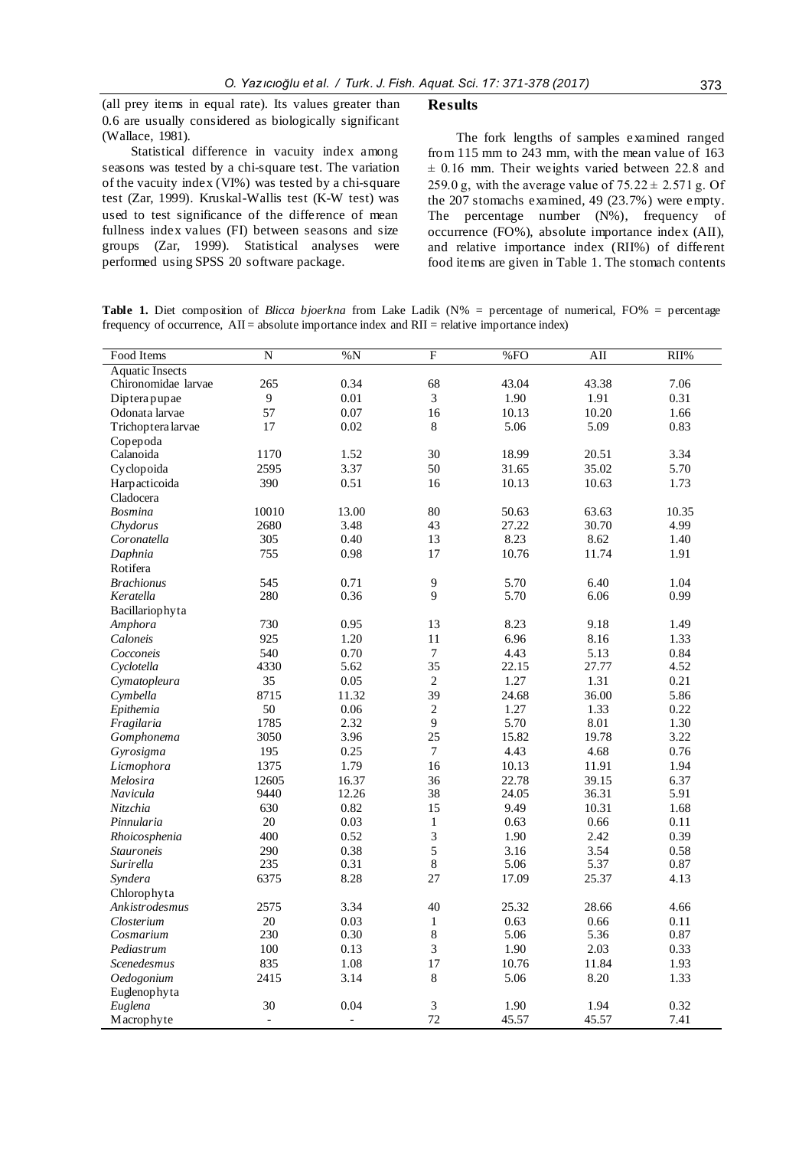(all prey items in equal rate). Its values greater than 0.6 are usually considered as biologically significant (Wallace, 1981).

Statistical difference in vacuity index among seasons was tested by a chi-square test. The variation of the vacuity index (VI%) was tested by a chi-square test (Zar, 1999). Kruskal-Wallis test (K-W test) was used to test significance of the difference of mean fullness index values (FI) between seasons and size groups (Zar, 1999). Statistical analyses were performed using SPSS 20 software package.

#### **Results**

The fork lengths of samples examined ranged from 115 mm to 243 mm, with the mean value of 163  $\pm$  0.16 mm. Their weights varied between 22.8 and 259.0 g, with the average value of  $75.22 \pm 2.571$  g. Of the 207 stomachs examined, 49 (23.7%) were empty. The percentage number (N%), frequency of occurrence (FO%), absolute importance index (AII), and relative importance index (RII%) of different food items are given in Table 1. The stomach contents

**Table 1.** Diet composition of *Blicca bjoerkna* from Lake Ladik (N% = percentage of numerical, FO% = percentage frequency of occurrence, AII = absolute importance index and RII = relative importance index)

| Food Items             | $\overline{\rm N}$ | %N             | F                | %FO   | AII   | RII%  |
|------------------------|--------------------|----------------|------------------|-------|-------|-------|
| <b>Aquatic Insects</b> |                    |                |                  |       |       |       |
| Chironomidae larvae    | 265                | 0.34           | 68               | 43.04 | 43.38 | 7.06  |
| Dipterapupae           | $\boldsymbol{9}$   | 0.01           | 3                | 1.90  | 1.91  | 0.31  |
| Odonata larvae         | 57                 | 0.07           | 16               | 10.13 | 10.20 | 1.66  |
| Trichoptera larvae     | 17                 | 0.02           | 8                | 5.06  | 5.09  | 0.83  |
| Copepoda               |                    |                |                  |       |       |       |
| Calanoida              | 1170               | 1.52           | 30               | 18.99 | 20.51 | 3.34  |
| Cyclopoida             | 2595               | 3.37           | 50               | 31.65 | 35.02 | 5.70  |
| Harpacticoida          | 390                | 0.51           | 16               | 10.13 | 10.63 | 1.73  |
| Cladocera              |                    |                |                  |       |       |       |
| <b>Bosmina</b>         | 10010              | 13.00          | 80               | 50.63 | 63.63 | 10.35 |
| Chydorus               | 2680               | 3.48           | 43               | 27.22 | 30.70 | 4.99  |
| Coronatella            | 305                | 0.40           | 13               | 8.23  | 8.62  | 1.40  |
| Daphnia                | 755                | 0.98           | 17               | 10.76 | 11.74 | 1.91  |
| Rotifera               |                    |                |                  |       |       |       |
| <b>Brachionus</b>      | 545                | 0.71           | 9                | 5.70  | 6.40  | 1.04  |
| Keratella              | 280                | 0.36           | $\mathbf Q$      | 5.70  | 6.06  | 0.99  |
| Bacillariophyta        |                    |                |                  |       |       |       |
| Amphora                | 730                | 0.95           | 13               | 8.23  | 9.18  | 1.49  |
| Caloneis               | 925                | 1.20           | 11               | 6.96  | 8.16  | 1.33  |
| Cocconeis              | 540                | 0.70           | $\boldsymbol{7}$ | 4.43  | 5.13  | 0.84  |
| Cyclotella             | 4330               | 5.62           | 35               | 22.15 | 27.77 | 4.52  |
| Cymatopleura           | 35                 | 0.05           | $\overline{2}$   | 1.27  | 1.31  | 0.21  |
| Cymbella               | 8715               | 11.32          | 39               | 24.68 | 36.00 | 5.86  |
| Epithemia              | 50                 | 0.06           | $\overline{2}$   | 1.27  | 1.33  | 0.22  |
| Fragilaria             | 1785               | 2.32           | 9                | 5.70  | 8.01  | 1.30  |
| Gomphonema             | 3050               | 3.96           | 25               | 15.82 | 19.78 | 3.22  |
| Gyrosigma              | 195                | 0.25           | $\overline{7}$   | 4.43  | 4.68  | 0.76  |
| Licmophora             | 1375               | 1.79           | 16               | 10.13 | 11.91 | 1.94  |
| Melosira               | 12605              | 16.37          | 36               | 22.78 | 39.15 | 6.37  |
| Navicula               | 9440               | 12.26          | 38               | 24.05 | 36.31 | 5.91  |
| <b>Nitzchia</b>        | 630                | 0.82           | 15               | 9.49  | 10.31 | 1.68  |
| Pinnularia             | 20                 | 0.03           | $\mathbf{1}$     | 0.63  | 0.66  | 0.11  |
| Rhoicosphenia          | 400                | 0.52           | 3                | 1.90  | 2.42  | 0.39  |
| <b>Stauroneis</b>      | 290                | 0.38           | 5                | 3.16  | 3.54  | 0.58  |
| Surirella              | 235                | 0.31           | 8                | 5.06  | 5.37  | 0.87  |
| Syndera                | 6375               | 8.28           | 27               | 17.09 | 25.37 | 4.13  |
| Chlorophyta            |                    |                |                  |       |       |       |
| Ankistrodesmus         | 2575               | 3.34           | 40               | 25.32 | 28.66 | 4.66  |
| Closterium             | 20                 | 0.03           | $\mathbf{1}$     | 0.63  | 0.66  | 0.11  |
| Cosmarium              | 230                | 0.30           | 8                | 5.06  | 5.36  | 0.87  |
| Pediastrum             | 100                | 0.13           | $\mathfrak{Z}$   | 1.90  | 2.03  | 0.33  |
| Scenedesmus            | 835                | 1.08           | 17               | 10.76 | 11.84 | 1.93  |
| Oedogonium             | 2415               | 3.14           | 8                | 5.06  | 8.20  | 1.33  |
| Euglenophyta           |                    |                |                  |       |       |       |
| Euglena                | 30                 | 0.04           | 3                | 1.90  | 1.94  | 0.32  |
| Macrophyte             | $\overline{a}$     | $\overline{a}$ | 72               | 45.57 | 45.57 | 7.41  |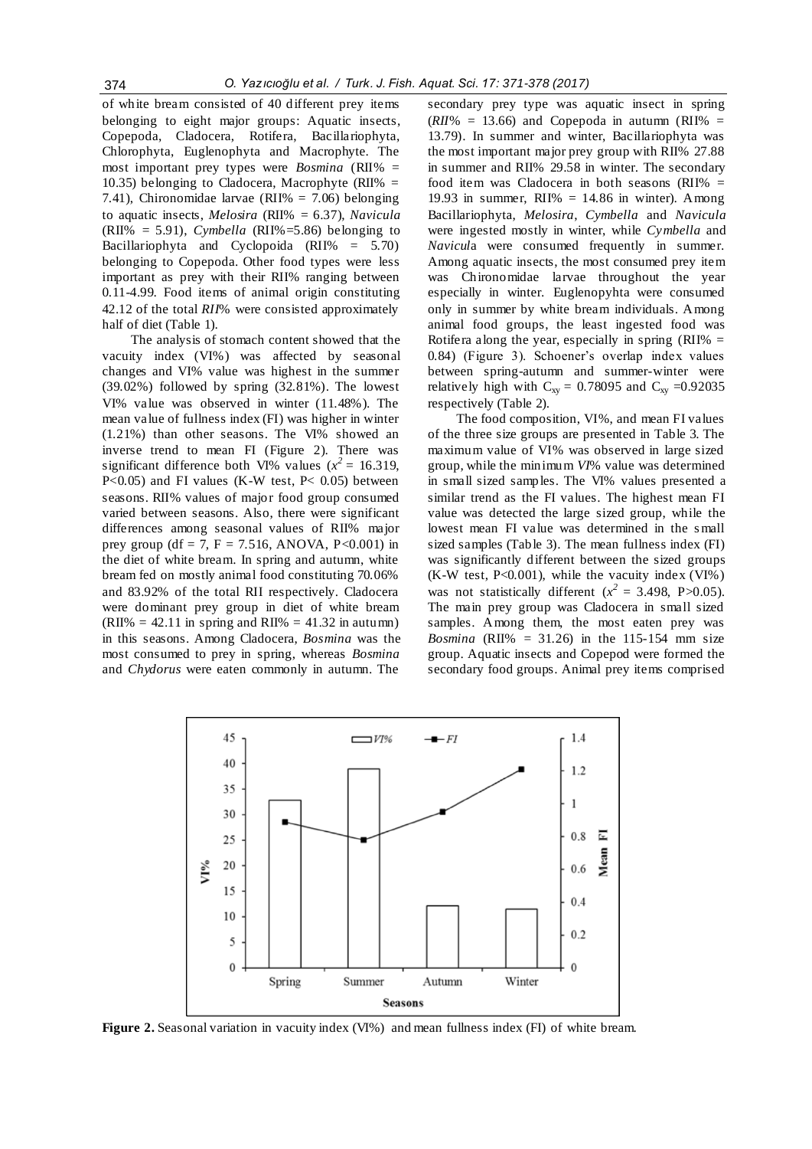of white bream consisted of 40 different prey items belonging to eight major groups: Aquatic insects, Copepoda, Cladocera, Rotifera, Bacillariophyta, Chlorophyta, Euglenophyta and Macrophyte. The most important prey types were *Bosmina* (RII% = 10.35) belonging to Cladocera, Macrophyte (RII%  $=$ 7.41), Chironomidae larvae (RII% = 7.06) belonging to aquatic insects, *Melosira* (RII% = 6.37), *Navicula*  (RII% = 5.91), *Cymbella* (RII%=5.86) belonging to Bacillariophyta and Cyclopoida (RII% = 5.70) belonging to Copepoda. Other food types were less important as prey with their RII% ranging between 0.11-4.99. Food items of animal origin constituting 42.12 of the total *RII*% were consisted approximately half of diet (Table 1).

The analysis of stomach content showed that the vacuity index (VI%) was affected by seasonal changes and VI% value was highest in the summer (39.02%) followed by spring (32.81%). The lowest VI% value was observed in winter (11.48%). The mean value of fullness index (FI) was higher in winter (1.21%) than other seasons. The VI% showed an inverse trend to mean FI (Figure 2). There was significant difference both VI% values  $(x^2 = 16.319,$ P<0.05) and FI values (K-W test, P< 0.05) between seasons. RII% values of major food group consumed varied between seasons. Also, there were significant differences among seasonal values of RII% major prey group (df = 7, F = 7.516, ANOVA, P<0.001) in the diet of white bream. In spring and autumn, white bream fed on mostly animal food constituting 70.06% and 83.92% of the total RII respectively. Cladocera were dominant prey group in diet of white bream  $(RII\% = 42.11$  in spring and RII% = 41.32 in autumn) in this seasons. Among Cladocera, *Bosmina* was the most consumed to prey in spring, whereas *Bosmina*  and *Chydorus* were eaten commonly in autumn. The

secondary prey type was aquatic insect in spring  $(RII\% = 13.66)$  and Copepoda in autumn (RII% = 13.79). In summer and winter, Bacillariophyta was the most important major prey group with RII% 27.88 in summer and RII% 29.58 in winter. The secondary food item was Cladocera in both seasons (RII% = 19.93 in summer, RII%  $= 14.86$  in winter). Among Bacillariophyta, *Melosira*, *Cymbella* and *Navicula*  were ingested mostly in winter, while *Cymbella* and *Navicul*a were consumed frequently in summer. Among aquatic insects, the most consumed prey item was Chironomidae larvae throughout the year especially in winter. Euglenopyhta were consumed only in summer by white bream individuals. Among animal food groups, the least ingested food was Rotifera along the year, especially in spring (RII%  $=$ 0.84) (Figure 3). Schoener's overlap index values between spring-autumn and summer-winter were relatively high with  $C_{xy} = 0.78095$  and  $C_{xy} = 0.92035$ respectively (Table 2).

The food composition, VI%, and mean FI values of the three size groups are presented in Table 3. The maximum value of VI% was observed in large sized group, while the minimum *VI*% value was determined in small sized samples. The VI% values presented a similar trend as the FI values. The highest mean FI value was detected the large sized group, while the lowest mean FI value was determined in the s mall sized samples (Table 3). The mean fullness index (FI) was significantly different between the sized groups (K-W test, P<0.001), while the vacuity index (VI%) was not statistically different  $(x^2 = 3.498, P > 0.05)$ . The main prey group was Cladocera in small sized samples. Among them, the most eaten prey was *Bosmina* (RII% = 31.26) in the 115-154 mm size group. Aquatic insects and Copepod were formed the secondary food groups. Animal prey items comprised



**Figure 2.** Seasonal variation in vacuity index (VI%) and mean fullness index (FI) of white bream.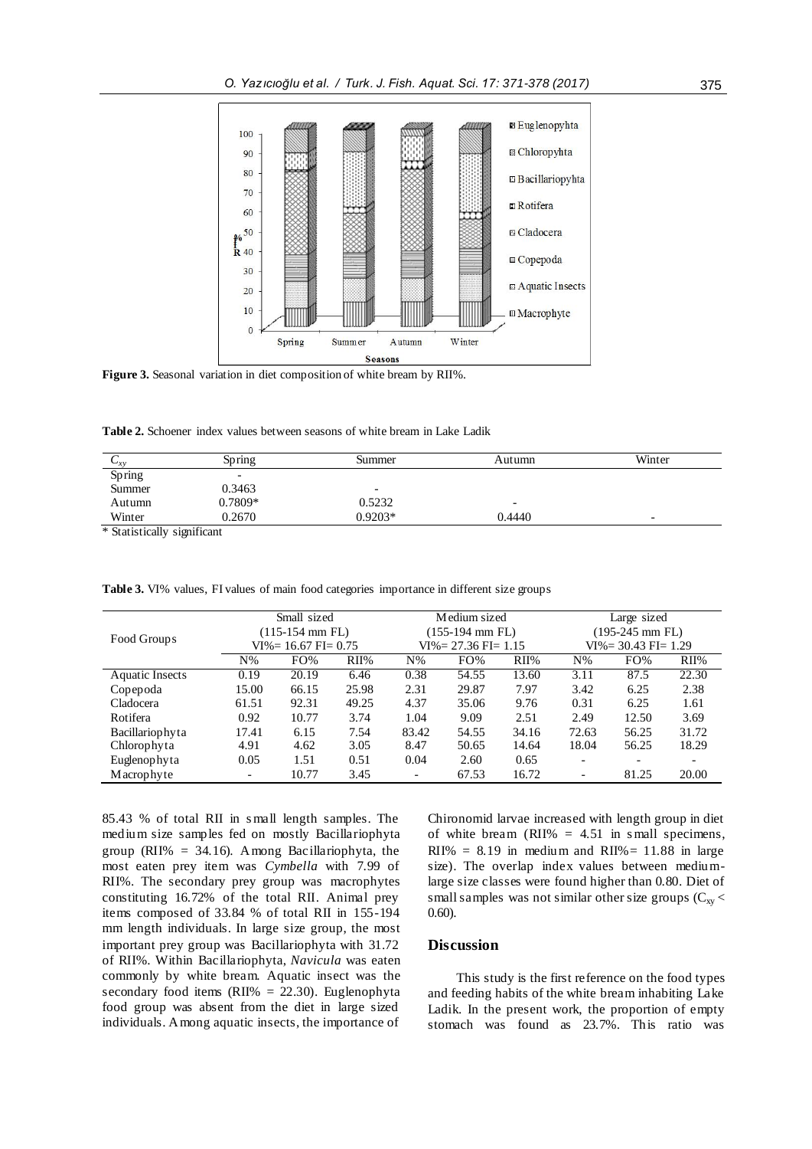

**Figure 3.** Seasonal variation in diet composition of white bream by RII%.

**Table 2.** Schoener index values between seasons of white bream in Lake Ladik

| $\mathbf{v}_{xy}$ | Spring                   | Summer    | Autumn | Winter                   |
|-------------------|--------------------------|-----------|--------|--------------------------|
| Spring            | $\overline{\phantom{0}}$ |           |        |                          |
| Summer            | 0.3463                   | -         |        |                          |
| Autumn            | 0.7809*                  | 0.5232    | -      |                          |
| Winter            | 0.2670                   | $0.9203*$ | 0.4440 | $\overline{\phantom{0}}$ |

Statistically significant

| Food Groups            | Small sized             |       | Medium sized |                         | Large sized |                   |                          |       |       |
|------------------------|-------------------------|-------|--------------|-------------------------|-------------|-------------------|--------------------------|-------|-------|
|                        | (115-154 mm FL)         |       |              | (155-194 mm FL)         |             | $(195-245$ mm FL) |                          |       |       |
|                        | $VI\% = 16.67$ FI= 0.75 |       |              | $VI\% = 27.36$ FI= 1.15 |             |                   | $VI\% = 30.43$ FI= 1.29  |       |       |
|                        | $N\%$                   | FO%   | $RII\%$      | $N\%$                   | FO%         | $RII\%$           | $N\%$                    | FO%   | RII%  |
| <b>Aquatic Insects</b> | 0.19                    | 20.19 | 6.46         | 0.38                    | 54.55       | 13.60             | 3.11                     | 87.5  | 22.30 |
| Copepoda               | 15.00                   | 66.15 | 25.98        | 2.31                    | 29.87       | 7.97              | 3.42                     | 6.25  | 2.38  |
| Cladocera              | 61.51                   | 92.31 | 49.25        | 4.37                    | 35.06       | 9.76              | 0.31                     | 6.25  | 1.61  |
| Rotifera               | 0.92                    | 10.77 | 3.74         | 1.04                    | 9.09        | 2.51              | 2.49                     | 12.50 | 3.69  |
| Bacillariophyta        | 17.41                   | 6.15  | 7.54         | 83.42                   | 54.55       | 34.16             | 72.63                    | 56.25 | 31.72 |
| Chlorophyta            | 4.91                    | 4.62  | 3.05         | 8.47                    | 50.65       | 14.64             | 18.04                    | 56.25 | 18.29 |
| Euglenophyta           | 0.05                    | 1.51  | 0.51         | 0.04                    | 2.60        | 0.65              | $\overline{\phantom{0}}$ |       |       |
| Macrophyte             | ٠                       | 10.77 | 3.45         |                         | 67.53       | 16.72             |                          | 81.25 | 20.00 |

**Table 3.** VI% values, FI values of main food categories importance in different size groups

85.43 % of total RII in s mall length samples. The medium size samples fed on mostly Bacillariophyta group (RII% = 34.16). Among Bacillariophyta, the most eaten prey item was *Cymbella* with 7.99 of RII%. The secondary prey group was macrophytes constituting 16.72% of the total RII. Animal prey items composed of 33.84 % of total RII in 155-194 mm length individuals. In large size group, the most important prey group was Bacillariophyta with 31.72 of RII%. Within Bacillariophyta, *Navicula* was eaten commonly by white bream. Aquatic insect was the secondary food items (RII% =  $22.30$ ). Euglenophyta food group was absent from the diet in large sized individuals. Among aquatic insects, the importance of

Chironomid larvae increased with length group in diet of white bream (RII%  $= 4.51$  in small specimens, RII% =  $8.19$  in medium and RII% = 11.88 in large size). The overlap index values between mediumlarge size classes were found higher than 0.80. Diet of small samples was not similar other size groups  $(C_{xy}$ 0.60).

## **Discussion**

This study is the first reference on the food types and feeding habits of the white bream inhabiting Lake Ladik. In the present work, the proportion of empty stomach was found as 23.7%. This ratio was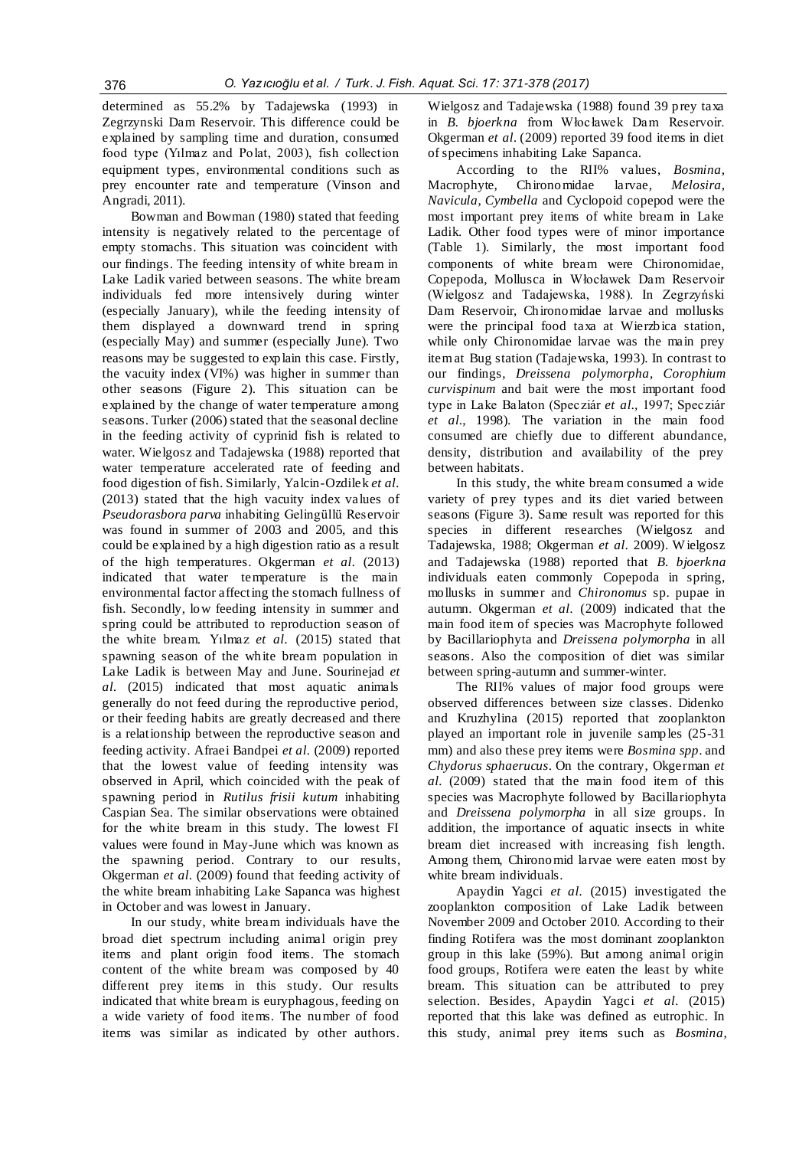determined as 55.2% by Tadajewska (1993) in Zegrzynski Dam Reservoir. This difference could be explained by sampling time and duration, consumed food type (Yılmaz and Polat, 2003), fish collection equipment types, environmental conditions such as prey encounter rate and temperature (Vinson and Angradi, 2011).

Bowman and Bowman (1980) stated that feeding intensity is negatively related to the percentage of empty stomachs. This situation was coincident with our findings. The feeding intensity of white bream in Lake Ladik varied between seasons. The white bream individuals fed more intensively during winter (especially January), while the feeding intensity of them displayed a downward trend in spring (especially May) and summer (especially June). Two reasons may be suggested to explain this case. Firstly, the vacuity index (VI%) was higher in summer than other seasons (Figure 2). This situation can be explained by the change of water temperature among seasons. Turker (2006) stated that the seasonal decline in the feeding activity of cyprinid fish is related to water. Wielgosz and Tadajewska (1988) reported that water temperature accelerated rate of feeding and food digestion of fish. Similarly, Yalcin-Ozdilek *et al.* (2013) stated that the high vacuity index values of *Pseudorasbora parva* inhabiting Gelingüllü Reservoir was found in summer of 2003 and 2005, and this could be explained by a high digestion ratio as a result of the high temperatures. Okgerman *et al.* (2013) indicated that water temperature is the main environmental factor affecting the stomach fullness of fish. Secondly, low feeding intensity in summer and spring could be attributed to reproduction season of the white bream. Yılmaz *et al.* (2015) stated that spawning season of the white bream population in Lake Ladik is between May and June. Sourinejad *et al.* (2015) indicated that most aquatic animals generally do not feed during the reproductive period, or their feeding habits are greatly decreased and there is a relationship between the reproductive season and feeding activity. Afraei Bandpei *et al.* (2009) reported that the lowest value of feeding intensity was observed in April, which coincided with the peak of spawning period in *Rutilus frisii kutum* inhabiting Caspian Sea. The similar observations were obtained for the white bream in this study. The lowest FI values were found in May-June which was known as the spawning period. Contrary to our results, Okgerman *et al.* (2009) found that feeding activity of the white bream inhabiting Lake Sapanca was highest in October and was lowest in January.

In our study, white bream individuals have the broad diet spectrum including animal origin prey items and plant origin food items. The stomach content of the white bream was composed by 40 different prey items in this study. Our results indicated that white bream is euryphagous, feeding on a wide variety of food items. The number of food items was similar as indicated by other authors. Wielgosz and Tadajewska (1988) found 39 prey taxa in *B. bjoerkna* from Włocławek Dam Reservoir. Okgerman *et al.* (2009) reported 39 food items in diet of specimens inhabiting Lake Sapanca.

According to the RII% values, *Bosmina*, Macrophyte, Chironomidae larvae, *Melosira*, *Navicula*, *Cymbella* and Cyclopoid copepod were the most important prey items of white bream in Lake Ladik. Other food types were of minor importance (Table 1). Similarly, the most important food components of white bream were Chironomidae, Copepoda, Mollusca in Włocławek Dam Reservoir (Wielgosz and Tadajewska, 1988). In Zegrzyński Dam Reservoir, Chironomidae larvae and mollusks were the principal food taxa at Wierzbica station, while only Chironomidae larvae was the main prey item at Bug station (Tadajewska, 1993). In contrast to our findings, *Dreissena polymorpha*, *Corophium curvispinum* and bait were the most important food type in Lake Balaton (Specziár *et al.,* 1997; Specziár *et al.,* 1998). The variation in the main food consumed are chiefly due to different abundance, density, distribution and availability of the prey between habitats.

In this study, the white bream consumed a wide variety of prey types and its diet varied between seasons (Figure 3). Same result was reported for this species in different researches (Wielgosz and Tadajewska, 1988; Okgerman *et al.* 2009). W ielgosz and Tadajewska (1988) reported that *B. bjoerkna* individuals eaten commonly Copepoda in spring, mollusks in summer and *Chironomus* sp. pupae in autumn. Okgerman *et al.* (2009) indicated that the main food item of species was Macrophyte followed by Bacillariophyta and *Dreissena polymorpha* in all seasons. Also the composition of diet was similar between spring-autumn and summer-winter.

The RII% values of major food groups were observed differences between size classes. Didenko and Kruzhylina (2015) reported that zooplankton played an important role in juvenile samples (25-31 mm) and also these prey items were *Bosmina spp*. and *Chydorus sphaerucus*. On the contrary, Okgerman *et al.* (2009) stated that the main food item of this species was Macrophyte followed by Bacillariophyta and *Dreissena polymorpha* in all size groups. In addition, the importance of aquatic insects in white bream diet increased with increasing fish length. Among them, Chironomid larvae were eaten most by white bream individuals.

Apaydin Yagci *et al.* (2015) investigated the zooplankton composition of Lake Ladik between November 2009 and October 2010. According to their finding Rotifera was the most dominant zooplankton group in this lake (59%). But among animal origin food groups, Rotifera were eaten the least by white bream. This situation can be attributed to prey selection. Besides, Apaydin Yagci et al. (2015) reported that this lake was defined as eutrophic. In this study, animal prey items such as *Bosmina*,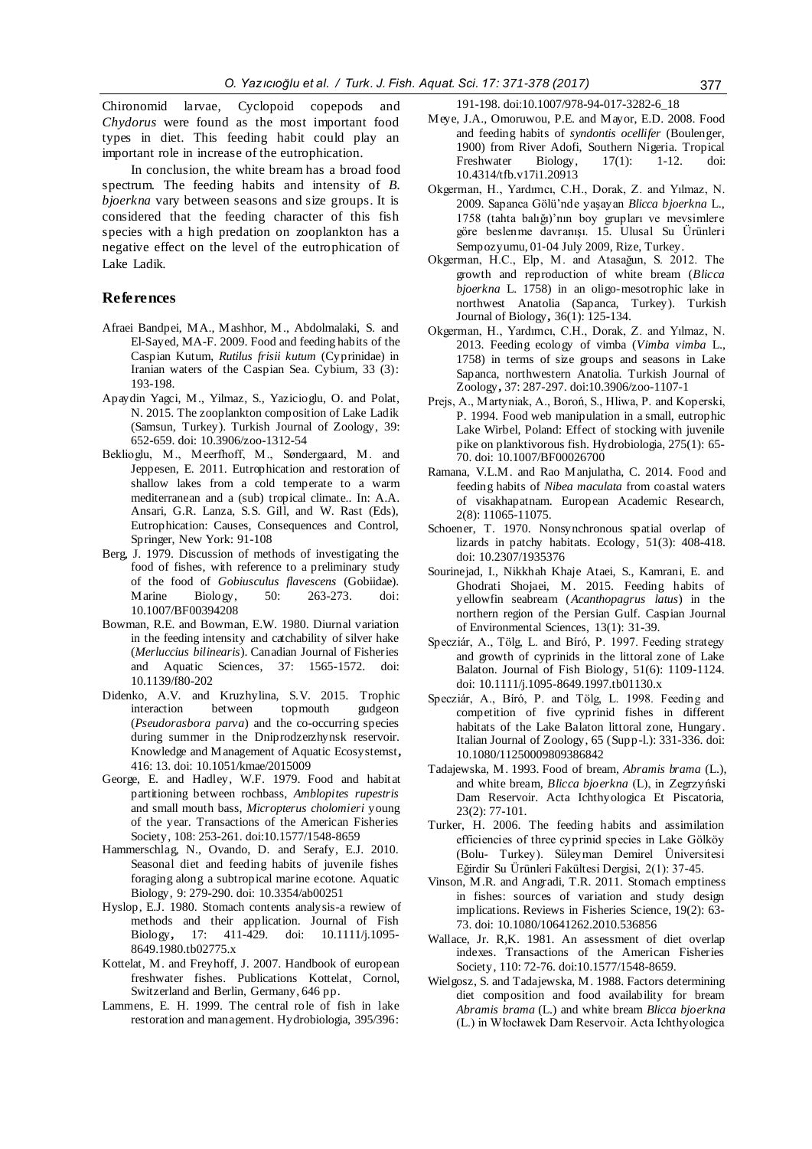Chironomid larvae, Cyclopoid copepods *Chydorus* were found as the most important food types in diet. This feeding habit could play an important role in increase of the eutrophication.

In conclusion, the white bream has a broad food spectrum. The feeding habits and intensity of *B. bjoerkna* vary between seasons and size groups. It is considered that the feeding character of this fish species with a high predation on zooplankton has a negative effect on the level of the eutrophication of Lake Ladik.

### **References**

- Afraei Bandpei, MA., Mashhor, M., Abdolmalaki, S. and El-Sayed, MA-F. 2009. Food and feeding habits of the Caspian Kutum, *Rutilus frisii kutum* (Cyprinidae) in Iranian waters of the Caspian Sea. Cybium, 33 (3): 193-198.
- Apaydin Yagci, M., Yilmaz, S., Yazicioglu, O. and Polat, N. 2015. The zooplankton composition of Lake Ladik (Samsun, Turkey). Turkish Journal of Zoology, 39: 652-659. doi: 10.3906/zoo-1312-54
- Beklioglu, M., Meerfhoff, M., Søndergaard, M. and Jeppesen, E. 2011. Eutrophication and restoration of shallow lakes from a cold temperate to a warm mediterranean and a (sub) tropical climate.. In: A.A. Ansari, G.R. Lanza, S.S. Gill, and W. Rast (Eds), Eutrophication: Causes, Consequences and Control, Springer, New York: 91-108
- Berg, J. 1979. Discussion of methods of investigating the food of fishes, with reference to a preliminary study of the food of *Gobiusculus flavescens* (Gobiidae). Marine Biology, 50: 263-273. doi: 10.1007/BF00394208
- Bowman, R.E. and Bowman, E.W. 1980. Diurnal variation in the feeding intensity and catchability of silver hake (*Merluccius bilinearis*). Canadian Journal of Fisheries and Aquatic Sciences, 37: 1565-1572. doi: 10.1139/f80-202
- Didenko, A.V. and Kruzhylina, S.V. 2015. Trophic interaction between topmouth gudgeon (*Pseudorasbora parva*) and the co-occurring species during summer in the Dniprodzerzhynsk reservoir. Knowledge and Management of Aquatic Ecosystemst**,**  416: 13. doi: 10.1051/kmae/2015009
- George, E. and Hadley, W.F. 1979. Food and habitat partitioning between rochbass, *Amblopites rupestris* and small mouth bass, *Micropterus cholomieri* young of the year. Transactions of the American Fisheries Society, 108: 253-261. doi:10.1577/1548-8659
- Hammerschlag, N., Ovando, D. and Serafy, E.J. 2010. Seasonal diet and feeding habits of juvenile fishes foraging along a subtropical marine ecotone. Aquatic Biology, 9: 279-290. doi: 10.3354/ab00251
- Hyslop, E.J. 1980. Stomach contents analysis-a rewiew of methods and their application. Journal of Fish Biology**,** 17: 411-429. doi: 10.1111/j.1095- 8649.1980.tb02775.x
- Kottelat, M. and Freyhoff, J. 2007. Handbook of european freshwater fishes. Publications Kottelat, Cornol, Switzerland and Berlin, Germany, 646 pp.
- Lammens, E. H. 1999. The central role of fish in lake restoration and management. Hydrobiologia, 395/396:

191-198. doi:10.1007/978-94-017-3282-6\_18

- Meye, J.A., Omoruwou, P.E. and Mayor, E.D. 2008. Food and feeding habits of *syndontis ocellifer* (Boulenger, 1900) from River Adofi, Southern Nigeria. Tropical<br>Freshwater Biology, 17(1): 1-12. doi: Freshwater 10.4314/tfb.v17i1.20913
- Okgerman, H., Yardımcı, C.H., Dorak, Z. and Yılmaz, N. 2009. Sapanca Gölü'nde yaşayan *Blicca bjoerkna* L., 1758 (tahta balığı)'nın boy grupları ve mevsimlere göre beslenme davranışı. 15. Ulusal Su Ürünleri Sempozyumu, 01‐04 July 2009, Rize, Turkey.
- Okgerman, H.C., Elp, M. and Atasağun, S. 2012. The growth and reproduction of white bream (*Blicca bjoerkna* L. 1758) in an oligo-mesotrophic lake in northwest Anatolia (Sapanca, Turkey). Turkish Journal of Biology**,** 36(1): 125-134.
- Okgerman, H., Yardımcı, C.H., Dorak, Z. and Yılmaz, N. 2013. Feeding ecology of vimba (*Vimba vimba* L., 1758) in terms of size groups and seasons in Lake Sapanca, northwestern Anatolia. Turkish Journal of Zoology**,** 37: 287-297. doi:10.3906/zoo-1107-1
- Prejs, A., Martyniak, A., Boroń, S., Hliwa, P. and Koperski, P. 1994. Food web manipulation in a small, eutrophic Lake Wirbel, Poland: Effect of stocking with juvenile pike on planktivorous fish. Hydrobiologia, 275(1): 65- 70. doi: 10.1007/BF00026700
- Ramana, V.L.M. and Rao Manjulatha, C. 2014. Food and feeding habits of *Nibea maculata* from coastal waters of visakhapatnam. European Academic Research, 2(8): 11065-11075.
- Schoener, T. 1970. Nonsynchronous spatial overlap of lizards in patchy habitats. Ecology, 51(3): 408-418. doi: 10.2307/1935376
- Sourinejad, I., Nikkhah Khaje Ataei, S., Kamrani, E. and Ghodrati Shojaei, M. 2015. Feeding habits of yellowfin seabream (*Acanthopagrus latus*) in the northern region of the Persian Gulf. Caspian Journal of Environmental Sciences, 13(1): 31-39.
- Specziár, A., Tölg, L. and Bíró, P. 1997. Feeding strategy and growth of cyprinids in the littoral zone of Lake Balaton. Journal of Fish Biology, 51(6): 1109-1124. doi: 10.1111/j.1095-8649.1997.tb01130.x
- Specziár, A., Bíró, P. and Tölg, L. 1998. Feeding and competition of five cyprinid fishes in different habitats of the Lake Balaton littoral zone, Hungary. Italian Journal of Zoology, 65 (Supp-l.): 331-336. doi: 10.1080/11250009809386842
- Tadajewska, M. 1993. Food of bream, *Abramis brama* (L.), and white bream, *Blicca bjoerkna* (L), in Zegrzyński Dam Reservoir. Acta Ichthyologica Et Piscatoria, 23(2): 77-101.
- Turker, H. 2006. The feeding habits and assimilation efficiencies of three cyprinid species in Lake Gölköy (Bolu- Turkey). Süleyman Demirel Üniversitesi Eğirdir Su Ürünleri Fakültesi Dergisi, 2(1): 37-45.
- Vinson, M.R. and Angradi, T.R. 2011. Stomach emptiness in fishes: sources of variation and study design implications. Reviews in Fisheries Science, 19(2): 63- 73. doi: 10.1080/10641262.2010.536856
- Wallace, Jr. R,K. 1981. An assessment of diet overlap indexes. Transactions of the American Fisheries Society, 110: 72-76. doi:10.1577/1548-8659.
- Wielgosz, S. and Tadajewska, M. 1988. Factors determining diet composition and food availability for bream *Abramis brama* (L.) and white bream *Blicca bjoerkna* (L.) in Włocławek Dam Reservoir. Acta Ichthyologica